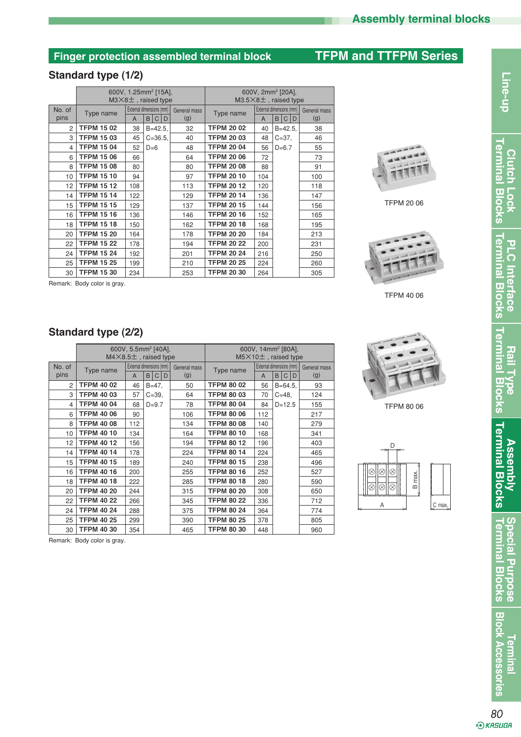# **Finger protection assembled terminal block TFPM and TTFPM Series**

# **Standard type (1/2)**

|                |                          |                   |              | 600V, 1.25mm <sup>2</sup> [15A],<br>$M3\times8$ $\pm$ , raised type |                     | 600V, $2mm^2$ [20A],<br>$M3.5\times8\pm$ , raised type |     |                                          |                     |  |  |  |
|----------------|--------------------------|-------------------|--------------|---------------------------------------------------------------------|---------------------|--------------------------------------------------------|-----|------------------------------------------|---------------------|--|--|--|
| No. of<br>pins |                          | Type name         | $\mathsf{A}$ | External dimensions (mm)<br>B<br>D<br>C                             | General mass<br>(g) | Type name                                              | A   | External dimensions (mm)<br>B.<br>C<br>D | General mass<br>(g) |  |  |  |
|                | $\overline{2}$           | <b>TFPM 1502</b>  | 38           | $B = 42.5$                                                          | 32                  | <b>TFPM 20 02</b>                                      | 40  | $B = 42.5$                               | 38                  |  |  |  |
|                | 3                        | <b>TFPM 1503</b>  | 45           | $C = 36.5,$                                                         | 40                  | <b>TFPM 20 03</b>                                      | 48  | $C = 37,$                                | 46<br>55            |  |  |  |
|                | $\overline{\mathcal{L}}$ | <b>TFPM 1504</b>  | 52           | $D=6$                                                               | 48                  | <b>TFPM 20 04</b>                                      | 56  | $D=6.7$                                  |                     |  |  |  |
|                | 6                        | <b>TFPM 15 06</b> | 66           |                                                                     | 64                  | <b>TFPM 20 06</b>                                      | 72  |                                          | 73                  |  |  |  |
|                | 8                        | <b>TFPM 1508</b>  | 80           |                                                                     | 80                  | <b>TFPM 20 08</b>                                      | 88  |                                          | 91                  |  |  |  |
|                | 10                       | <b>TFPM 15 10</b> | 94           |                                                                     | 97                  | <b>TFPM 2010</b>                                       | 104 |                                          | 100                 |  |  |  |
|                | 12                       | <b>TFPM 15 12</b> | 108          |                                                                     | 113                 | <b>TFPM 2012</b>                                       | 120 |                                          | 118                 |  |  |  |
|                | 14                       | <b>TFPM 15 14</b> | 122          |                                                                     | 129                 | <b>TFPM 2014</b>                                       | 136 |                                          | 147                 |  |  |  |
|                | 15                       | <b>TFPM 15 15</b> | 129          |                                                                     | 137                 | <b>TFPM 2015</b>                                       | 144 |                                          | 156                 |  |  |  |
|                | 16                       | <b>TFPM 15 16</b> | 136          |                                                                     | 146                 | <b>TFPM 2016</b>                                       | 152 |                                          | 165                 |  |  |  |
|                | 18                       | <b>TFPM 15 18</b> | 150          |                                                                     | 162                 | <b>TFPM 2018</b>                                       | 168 |                                          | 195                 |  |  |  |
|                | 20                       | <b>TFPM 15 20</b> | 164          |                                                                     | 178                 | <b>TFPM 20 20</b>                                      |     | 213                                      |                     |  |  |  |
|                | 22                       | <b>TFPM 15 22</b> | 178          |                                                                     | 194                 | <b>TFPM 20 22</b>                                      | 200 |                                          | 231                 |  |  |  |
|                | 24                       | <b>TFPM 15 24</b> | 192          |                                                                     | 201                 | <b>TFPM 20 24</b>                                      | 216 |                                          | 250                 |  |  |  |
|                | 25                       | <b>TFPM 15 25</b> | 199          |                                                                     | 210                 | <b>TFPM 20 25</b>                                      | 224 |                                          | 260                 |  |  |  |
|                | 30                       | <b>TFPM 15 30</b> | 234          |                                                                     | 253                 | <b>TFPM 20 30</b>                                      | 264 |                                          | 305                 |  |  |  |



TFPM 20 06



TFPM 40 06

#### Remark: Body color is gray.

## **Standard type (2/2)**

|                |                             |     | 600V, 5.5mm <sup>2</sup> [40A],<br>$M4\times8.5\pm$ , raised type |                     | 600V, 14mm <sup>2</sup> [80A],<br>$M5\times10+$ , raised type |                |                                         |                     |  |  |  |
|----------------|-----------------------------|-----|-------------------------------------------------------------------|---------------------|---------------------------------------------------------------|----------------|-----------------------------------------|---------------------|--|--|--|
| No. of<br>pins | Type name<br>$\overline{A}$ |     | External dimensions (mm)<br>B<br>D<br>C                           | General mass<br>(g) | Type name                                                     | $\overline{A}$ | External dimensions (mm)<br>B<br>C<br>D | General mass<br>(g) |  |  |  |
| $\overline{2}$ | <b>TFPM 40 02</b>           | 46  | $B = 47$ .                                                        | 50                  | <b>TFPM 80 02</b>                                             | 56             | $B = 64.5$                              | 93                  |  |  |  |
| 3              | <b>TFPM 40 03</b>           | 57  | $C = 39.$                                                         | 64                  | <b>TFPM 80 03</b>                                             | 70             | $C = 48.$                               | 124                 |  |  |  |
| 4              | <b>TFPM 40 04</b>           | 68  | $D=9.7$                                                           | 78                  | <b>TFPM 80 04</b>                                             | 84             | $D=12.5$                                | 155                 |  |  |  |
| 6              | <b>TFPM 40 06</b>           | 90  |                                                                   | 106                 | <b>TFPM 80 06</b>                                             | 112            |                                         | 217                 |  |  |  |
| 8              | <b>TFPM 40 08</b>           | 112 |                                                                   | 134                 | <b>TFPM 80 08</b>                                             | 140            |                                         | 279                 |  |  |  |
| 10             | <b>TFPM 40 10</b>           | 134 |                                                                   | 164                 | <b>TFPM 80 10</b>                                             | 168            |                                         | 341                 |  |  |  |
| 12             | <b>TFPM 40 12</b>           | 156 |                                                                   | 194                 | <b>TFPM 80 12</b>                                             | 196            |                                         | 403                 |  |  |  |
| 14             | <b>TFPM 40 14</b>           | 178 |                                                                   | 224                 | <b>TFPM 80 14</b>                                             | 224            |                                         | 465                 |  |  |  |
| 15             | <b>TFPM 40 15</b>           | 189 |                                                                   | 240                 | <b>TFPM 80 15</b>                                             | 238            |                                         | 496                 |  |  |  |
| 16             | <b>TFPM 40 16</b>           | 200 |                                                                   | 255                 | <b>TFPM 80 16</b>                                             | 252            |                                         | 527                 |  |  |  |
| 18             | <b>TFPM 40 18</b>           | 222 |                                                                   | 285                 | <b>TFPM 80 18</b>                                             | 280            |                                         | 590                 |  |  |  |
| 20             | <b>TFPM 40 20</b>           | 244 |                                                                   | 315                 | <b>TFPM 80 20</b>                                             | 308            |                                         | 650                 |  |  |  |
| 22             | <b>TFPM 40 22</b>           | 266 |                                                                   | 345                 | <b>TFPM 80 22</b>                                             | 336            |                                         | 712                 |  |  |  |
| 24             | <b>TFPM 40 24</b>           | 288 |                                                                   | 375                 | <b>TFPM 80 24</b>                                             | 364            |                                         | 774                 |  |  |  |
| 25             | <b>TFPM 40 25</b>           | 299 |                                                                   | 390                 | <b>TFPM 80 25</b>                                             | 378            |                                         | 805                 |  |  |  |
| 30             | <b>TFPM 40 30</b>           | 354 |                                                                   | 465                 | <b>TFPM 80 30</b>                                             | 448            |                                         | 960                 |  |  |  |



TFPM 80 06



Remark: Body color is gray.